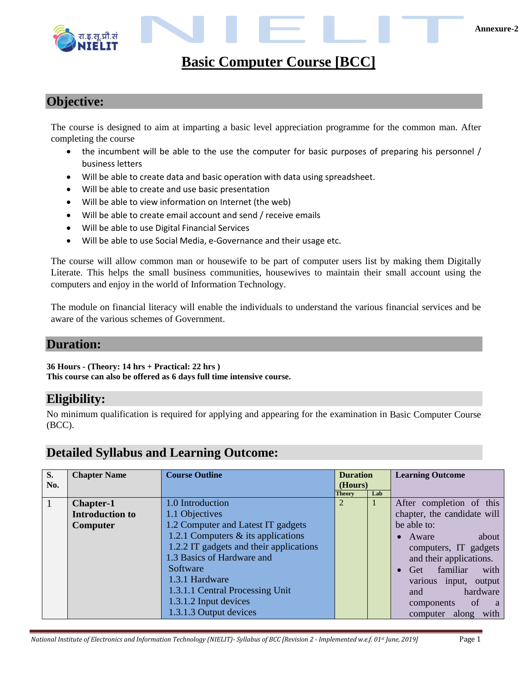

#### **Objective:**

The course is designed to aim at imparting a basic level appreciation programme for the common man. After completing the course

- the incumbent will be able to the use the computer for basic purposes of preparing his personnel / business letters
- Will be able to create data and basic operation with data using spreadsheet.
- Will be able to create and use basic presentation
- Will be able to view information on Internet (the web)
- Will be able to create email account and send / receive emails
- Will be able to use Digital Financial Services
- Will be able to use Social Media, e-Governance and their usage etc.

The course will allow common man or housewife to be part of computer users list by making them Digitally Literate. This helps the small business communities, housewives to maintain their small account using the computers and enjoy in the world of Information Technology.

The module on financial literacy will enable the individuals to understand the various financial services and be aware of the various schemes of Government.

#### **Duration:**

**36 Hours - (Theory: 14 hrs + Practical: 22 hrs )**

**This course can also be offered as 6 days full time intensive course.** 

#### **Eligibility:**

No minimum qualification is required for applying and appearing for the examination in Basic Computer Course (BCC).

#### **Detailed Syllabus and Learning Outcome:**

| S.  | <b>Chapter Name</b>    | <b>Course Outline</b>                   | <b>Duration</b> |     | <b>Learning Outcome</b>                     |
|-----|------------------------|-----------------------------------------|-----------------|-----|---------------------------------------------|
| No. |                        |                                         | (Hours)         |     |                                             |
|     |                        |                                         | Theory          | Lab |                                             |
| 1   | <b>Chapter-1</b>       | 1.0 Introduction                        | 2               |     | After completion of this                    |
|     | <b>Introduction to</b> | 1.1 Objectives                          |                 |     | chapter, the candidate will                 |
|     | Computer               | 1.2 Computer and Latest IT gadgets      |                 |     | be able to:                                 |
|     |                        | 1.2.1 Computers $&$ its applications    |                 |     | about<br>$\bullet$ Aware                    |
|     |                        | 1.2.2 IT gadgets and their applications |                 |     | computers, IT gadgets                       |
|     |                        | 1.3 Basics of Hardware and              |                 |     | and their applications.                     |
|     |                        | Software                                |                 |     | • Get familiar<br>with                      |
|     |                        | 1.3.1 Hardware                          |                 |     | various input, output                       |
|     |                        | 1.3.1.1 Central Processing Unit         |                 |     | hardware<br>and                             |
|     |                        | 1.3.1.2 Input devices                   |                 |     | <sub>of</sub><br>components<br><sub>a</sub> |
|     |                        | 1.3.1.3 Output devices                  |                 |     | computer along with                         |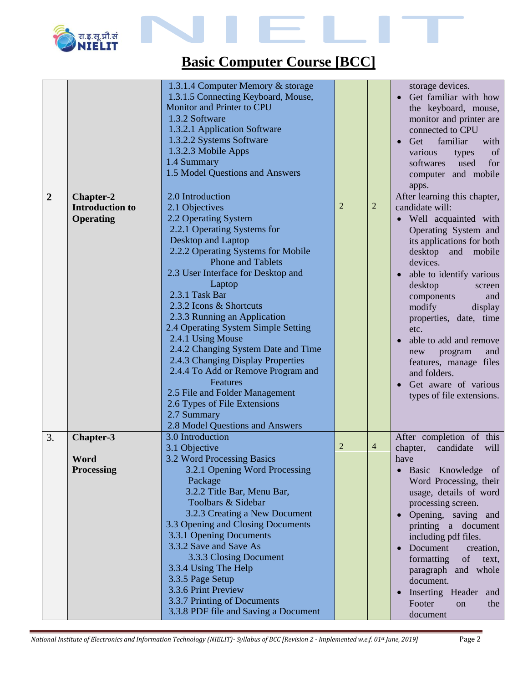

|                |                                                         | 1.3.1.4 Computer Memory & storage<br>1.3.1.5 Connecting Keyboard, Mouse,<br>Monitor and Printer to CPU<br>1.3.2 Software<br>1.3.2.1 Application Software<br>1.3.2.2 Systems Software<br>1.3.2.3 Mobile Apps<br>1.4 Summary<br>1.5 Model Questions and Answers                                                                                                                                                                                                                                                                                                                                                                |                |                | storage devices.<br>Get familiar with how<br>the keyboard, mouse,<br>monitor and printer are<br>connected to CPU<br>Get<br>familiar<br>with<br>$\bullet$<br>of<br>various<br>types<br>softwares<br>for<br>used<br>computer and mobile<br>apps.                                                                                                                                                                                                  |
|----------------|---------------------------------------------------------|------------------------------------------------------------------------------------------------------------------------------------------------------------------------------------------------------------------------------------------------------------------------------------------------------------------------------------------------------------------------------------------------------------------------------------------------------------------------------------------------------------------------------------------------------------------------------------------------------------------------------|----------------|----------------|-------------------------------------------------------------------------------------------------------------------------------------------------------------------------------------------------------------------------------------------------------------------------------------------------------------------------------------------------------------------------------------------------------------------------------------------------|
| $\overline{2}$ | Chapter-2<br><b>Introduction to</b><br><b>Operating</b> | 2.0 Introduction<br>2.1 Objectives<br>2.2 Operating System<br>2.2.1 Operating Systems for<br>Desktop and Laptop<br>2.2.2 Operating Systems for Mobile<br><b>Phone and Tablets</b><br>2.3 User Interface for Desktop and<br>Laptop<br>2.3.1 Task Bar<br>2.3.2 Icons & Shortcuts<br>2.3.3 Running an Application<br>2.4 Operating System Simple Setting<br>2.4.1 Using Mouse<br>2.4.2 Changing System Date and Time<br>2.4.3 Changing Display Properties<br>2.4.4 To Add or Remove Program and<br>Features<br>2.5 File and Folder Management<br>2.6 Types of File Extensions<br>2.7 Summary<br>2.8 Model Questions and Answers | $\overline{2}$ | $\overline{2}$ | After learning this chapter,<br>candidate will:<br>• Well acquainted with<br>Operating System and<br>its applications for both<br>desktop and mobile<br>devices.<br>able to identify various<br>desktop<br>screen<br>components<br>and<br>modify<br>display<br>properties, date, time<br>etc.<br>able to add and remove<br>program<br>and<br>new<br>features, manage files<br>and folders.<br>Get aware of various<br>types of file extensions. |
| 3.             | Chapter-3<br>Word<br><b>Processing</b>                  | 3.0 Introduction<br>3.1 Objective<br>3.2 Word Processing Basics<br>3.2.1 Opening Word Processing<br>Package<br>3.2.2 Title Bar, Menu Bar,<br>Toolbars & Sidebar<br>3.2.3 Creating a New Document<br>3.3 Opening and Closing Documents<br>3.3.1 Opening Documents<br>3.3.2 Save and Save As<br>3.3.3 Closing Document<br>3.3.4 Using The Help<br>3.3.5 Page Setup<br>3.3.6 Print Preview<br>3.3.7 Printing of Documents<br>3.3.8 PDF file and Saving a Document                                                                                                                                                               | $\overline{c}$ | $\overline{4}$ | After completion of this<br>candidate<br>chapter,<br>will<br>have<br>Basic Knowledge of<br>Word Processing, their<br>usage, details of word<br>processing screen.<br>Opening, saving and<br>printing a document<br>including pdf files.<br>Document<br>creation,<br>formatting<br>of<br>text,<br>paragraph and whole<br>document.<br>Inserting Header<br>and<br>Footer<br>the<br>on<br>document                                                 |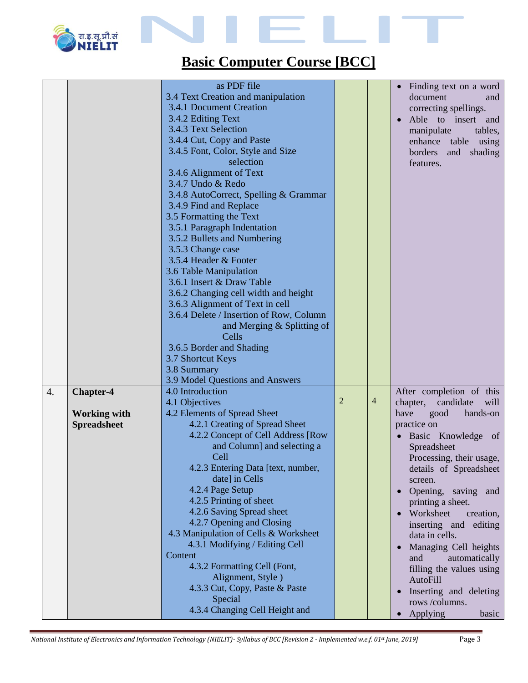

|    |                     | as PDF file                             |                |                |                                  |
|----|---------------------|-----------------------------------------|----------------|----------------|----------------------------------|
|    |                     |                                         |                |                | Finding text on a word           |
|    |                     | 3.4 Text Creation and manipulation      |                |                | document<br>and                  |
|    |                     | 3.4.1 Document Creation                 |                |                | correcting spellings.            |
|    |                     | 3.4.2 Editing Text                      |                |                | Able to insert and<br>$\bullet$  |
|    |                     | 3.4.3 Text Selection                    |                |                | manipulate<br>tables,            |
|    |                     | 3.4.4 Cut, Copy and Paste               |                |                | enhance table using              |
|    |                     | 3.4.5 Font, Color, Style and Size       |                |                | borders<br>and shading           |
|    |                     | selection                               |                |                | features.                        |
|    |                     | 3.4.6 Alignment of Text                 |                |                |                                  |
|    |                     | 3.4.7 Undo & Redo                       |                |                |                                  |
|    |                     | 3.4.8 AutoCorrect, Spelling & Grammar   |                |                |                                  |
|    |                     | 3.4.9 Find and Replace                  |                |                |                                  |
|    |                     | 3.5 Formatting the Text                 |                |                |                                  |
|    |                     | 3.5.1 Paragraph Indentation             |                |                |                                  |
|    |                     | 3.5.2 Bullets and Numbering             |                |                |                                  |
|    |                     | 3.5.3 Change case                       |                |                |                                  |
|    |                     | 3.5.4 Header & Footer                   |                |                |                                  |
|    |                     | 3.6 Table Manipulation                  |                |                |                                  |
|    |                     | 3.6.1 Insert & Draw Table               |                |                |                                  |
|    |                     | 3.6.2 Changing cell width and height    |                |                |                                  |
|    |                     | 3.6.3 Alignment of Text in cell         |                |                |                                  |
|    |                     | 3.6.4 Delete / Insertion of Row, Column |                |                |                                  |
|    |                     |                                         |                |                |                                  |
|    |                     | and Merging & Splitting of              |                |                |                                  |
|    |                     | Cells                                   |                |                |                                  |
|    |                     | 3.6.5 Border and Shading                |                |                |                                  |
|    |                     | 3.7 Shortcut Keys                       |                |                |                                  |
|    |                     | 3.8 Summary                             |                |                |                                  |
|    |                     | 3.9 Model Questions and Answers         |                |                |                                  |
| 4. | <b>Chapter-4</b>    | 4.0 Introduction                        |                |                | After completion of this         |
|    |                     | 4.1 Objectives                          | $\overline{2}$ | $\overline{4}$ | chapter,<br>candidate<br>will    |
|    | <b>Working with</b> | 4.2 Elements of Spread Sheet            |                |                | have<br>good<br>hands-on         |
|    | <b>Spreadsheet</b>  | 4.2.1 Creating of Spread Sheet          |                |                | practice on                      |
|    |                     | 4.2.2 Concept of Cell Address [Row      |                |                | Basic Knowledge of               |
|    |                     | and Column] and selecting a             |                |                | Spreadsheet                      |
|    |                     | Cell                                    |                |                | Processing, their usage,         |
|    |                     | 4.2.3 Entering Data [text, number,      |                |                | details of Spreadsheet           |
|    |                     | date] in Cells                          |                |                | screen.                          |
|    |                     | 4.2.4 Page Setup                        |                |                | Opening, saving and<br>$\bullet$ |
|    |                     | 4.2.5 Printing of sheet                 |                |                | printing a sheet.                |
|    |                     | 4.2.6 Saving Spread sheet               |                |                | Worksheet<br>creation,           |
|    |                     | 4.2.7 Opening and Closing               |                |                | inserting and editing            |
|    |                     | 4.3 Manipulation of Cells & Worksheet   |                |                | data in cells.                   |
|    |                     | 4.3.1 Modifying / Editing Cell          |                |                |                                  |
|    |                     | Content                                 |                |                | Managing Cell heights            |
|    |                     | 4.3.2 Formatting Cell (Font,            |                |                | automatically<br>and             |
|    |                     | Alignment, Style)                       |                |                | filling the values using         |
|    |                     | 4.3.3 Cut, Copy, Paste & Paste          |                |                | <b>AutoFill</b>                  |
|    |                     |                                         |                |                | Inserting and deleting           |
|    |                     | Special                                 |                |                | rows /columns.                   |
|    |                     | 4.3.4 Changing Cell Height and          |                |                | Applying<br>basic                |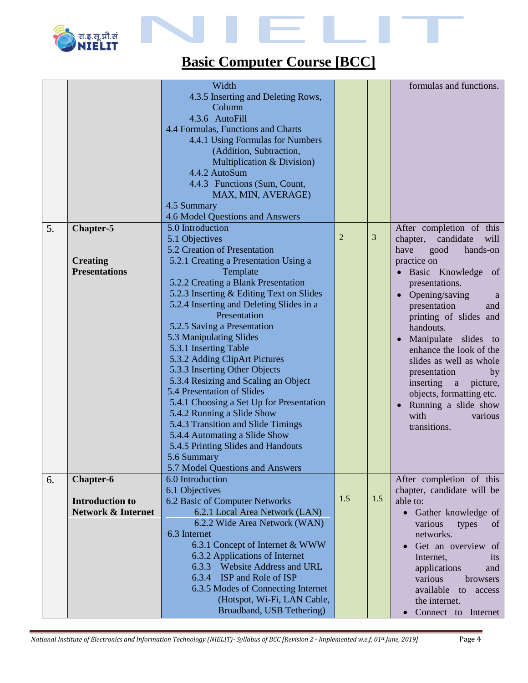

|    |                               | Width                                    |                |                | formulas and functions.           |
|----|-------------------------------|------------------------------------------|----------------|----------------|-----------------------------------|
|    |                               | 4.3.5 Inserting and Deleting Rows,       |                |                |                                   |
|    |                               | Column                                   |                |                |                                   |
|    |                               | 4.3.6 AutoFill                           |                |                |                                   |
|    |                               | 4.4 Formulas, Functions and Charts       |                |                |                                   |
|    |                               | 4.4.1 Using Formulas for Numbers         |                |                |                                   |
|    |                               | (Addition, Subtraction,                  |                |                |                                   |
|    |                               | Multiplication & Division)               |                |                |                                   |
|    |                               | 4.4.2 AutoSum                            |                |                |                                   |
|    |                               | 4.4.3 Functions (Sum, Count,             |                |                |                                   |
|    |                               | MAX, MIN, AVERAGE)                       |                |                |                                   |
|    |                               | 4.5 Summary                              |                |                |                                   |
|    |                               | 4.6 Model Questions and Answers          |                |                |                                   |
| 5. | <b>Chapter-5</b>              | 5.0 Introduction                         |                |                | After completion of this          |
|    |                               | 5.1 Objectives                           | $\overline{2}$ | $\overline{3}$ | chapter,<br>candidate<br>will     |
|    |                               | 5.2 Creation of Presentation             |                |                | have<br>good<br>hands-on          |
|    | <b>Creating</b>               | 5.2.1 Creating a Presentation Using a    |                |                | practice on                       |
|    | <b>Presentations</b>          | Template                                 |                |                | · Basic Knowledge<br>of           |
|    |                               | 5.2.2 Creating a Blank Presentation      |                |                | presentations.                    |
|    |                               | 5.2.3 Inserting & Editing Text on Slides |                |                | Opening/saving<br>$\bullet$<br>a  |
|    |                               | 5.2.4 Inserting and Deleting Slides in a |                |                | presentation<br>and               |
|    |                               | Presentation                             |                |                | printing of slides and            |
|    |                               | 5.2.5 Saving a Presentation              |                |                | handouts.                         |
|    |                               | 5.3 Manipulating Slides                  |                |                | • Manipulate slides<br>to         |
|    |                               | 5.3.1 Inserting Table                    |                |                | enhance the look of the           |
|    |                               | 5.3.2 Adding ClipArt Pictures            |                |                | slides as well as whole           |
|    |                               | 5.3.3 Inserting Other Objects            |                |                | presentation<br>by                |
|    |                               | 5.3.4 Resizing and Scaling an Object     |                |                | inserting a<br>picture,           |
|    |                               | 5.4 Presentation of Slides               |                |                | objects, formatting etc.          |
|    |                               | 5.4.1 Choosing a Set Up for Presentation |                |                | Running a slide show<br>$\bullet$ |
|    |                               | 5.4.2 Running a Slide Show               |                |                | with<br>various                   |
|    |                               | 5.4.3 Transition and Slide Timings       |                |                | transitions.                      |
|    |                               | 5.4.4 Automating a Slide Show            |                |                |                                   |
|    |                               | 5.4.5 Printing Slides and Handouts       |                |                |                                   |
|    |                               | 5.6 Summary                              |                |                |                                   |
|    |                               | 5.7 Model Questions and Answers          |                |                |                                   |
| 6. | Chapter-6                     | 6.0 Introduction                         |                |                | After completion of this          |
|    |                               | 6.1 Objectives                           |                |                | chapter, candidate will be        |
|    | <b>Introduction to</b>        | 6.2 Basic of Computer Networks           | 1.5            | $1.5$          | able to:                          |
|    | <b>Network &amp; Internet</b> | 6.2.1 Local Area Network (LAN)           |                |                | Gather knowledge of               |
|    |                               | 6.2.2 Wide Area Network (WAN)            |                |                | various<br>types<br>of            |
|    |                               | 6.3 Internet                             |                |                | networks.                         |
|    |                               | 6.3.1 Concept of Internet & WWW          |                |                | Get an overview of                |
|    |                               | 6.3.2 Applications of Internet           |                |                | Internet,<br>its                  |
|    |                               | 6.3.3 Website Address and URL            |                |                | applications<br>and               |
|    |                               | 6.3.4 ISP and Role of ISP                |                |                | various<br>browsers               |
|    |                               | 6.3.5 Modes of Connecting Internet       |                |                | available<br>to<br>access         |
|    |                               | (Hotspot, Wi-Fi, LAN Cable,              |                |                | the internet.                     |
|    |                               | Broadband, USB Tethering)                |                |                | Connect to Internet               |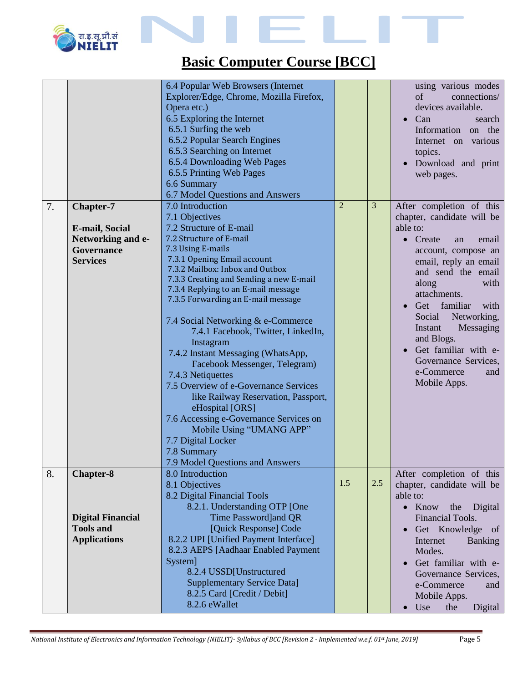

|    |                                                                                                 | 6.4 Popular Web Browsers (Internet<br>Explorer/Edge, Chrome, Mozilla Firefox,<br>Opera etc.)<br>6.5 Exploring the Internet<br>6.5.1 Surfing the web<br>6.5.2 Popular Search Engines<br>6.5.3 Searching on Internet<br>6.5.4 Downloading Web Pages<br>6.5.5 Printing Web Pages<br>6.6 Summary<br>6.7 Model Questions and Answers                                                                                                                                                                                                                                                                                                                                                                                                               |                |     | using various modes<br>of<br>connections/<br>devices available.<br>Can<br>search<br>Information on the<br>Internet on various<br>topics.<br>Download and print<br>web pages.                                                                                                                                                                                                                |
|----|-------------------------------------------------------------------------------------------------|-----------------------------------------------------------------------------------------------------------------------------------------------------------------------------------------------------------------------------------------------------------------------------------------------------------------------------------------------------------------------------------------------------------------------------------------------------------------------------------------------------------------------------------------------------------------------------------------------------------------------------------------------------------------------------------------------------------------------------------------------|----------------|-----|---------------------------------------------------------------------------------------------------------------------------------------------------------------------------------------------------------------------------------------------------------------------------------------------------------------------------------------------------------------------------------------------|
| 7. | <b>Chapter-7</b><br><b>E-mail, Social</b><br>Networking and e-<br>Governance<br><b>Services</b> | 7.0 Introduction<br>7.1 Objectives<br>7.2 Structure of E-mail<br>7.2 Structure of E-mail<br>7.3 Using E-mails<br>7.3.1 Opening Email account<br>7.3.2 Mailbox: Inbox and Outbox<br>7.3.3 Creating and Sending a new E-mail<br>7.3.4 Replying to an E-mail message<br>7.3.5 Forwarding an E-mail message<br>7.4 Social Networking & e-Commerce<br>7.4.1 Facebook, Twitter, LinkedIn,<br>Instagram<br>7.4.2 Instant Messaging (WhatsApp,<br>Facebook Messenger, Telegram)<br>7.4.3 Netiquettes<br>7.5 Overview of e-Governance Services<br>like Railway Reservation, Passport,<br>eHospital [ORS]<br>7.6 Accessing e-Governance Services on<br>Mobile Using "UMANG APP"<br>7.7 Digital Locker<br>7.8 Summary<br>7.9 Model Questions and Answers | $\overline{2}$ | 3   | After completion of this<br>chapter, candidate will be<br>able to:<br>Create<br>email<br>$\bullet$<br>an<br>account, compose an<br>email, reply an email<br>and send the email<br>along<br>with<br>attachments.<br>Get familiar<br>with<br>Social<br>Networking,<br>Instant<br>Messaging<br>and Blogs.<br>Get familiar with e-<br>Governance Services,<br>e-Commerce<br>and<br>Mobile Apps. |
| 8. | <b>Chapter-8</b><br><b>Digital Financial</b><br><b>Tools and</b><br><b>Applications</b>         | 8.0 Introduction<br>8.1 Objectives<br>8.2 Digital Financial Tools<br>8.2.1. Understanding OTP [One<br>Time Password]and QR<br>[Quick Response] Code<br>8.2.2 UPI [Unified Payment Interface]<br>8.2.3 AEPS [Aadhaar Enabled Payment<br>System]<br>8.2.4 USSD[Unstructured<br><b>Supplementary Service Data]</b><br>8.2.5 Card [Credit / Debit]<br>8.2.6 eWallet                                                                                                                                                                                                                                                                                                                                                                               | 1.5            | 2.5 | After completion of this<br>chapter, candidate will be<br>able to:<br>$\bullet$ Know<br>the<br>Digital<br>Financial Tools.<br>Get Knowledge of<br>Internet<br><b>Banking</b><br>Modes.<br>Get familiar with e-<br>Governance Services,<br>e-Commerce<br>and<br>Mobile Apps.<br>$\bullet$ Use<br>the<br>Digital                                                                              |